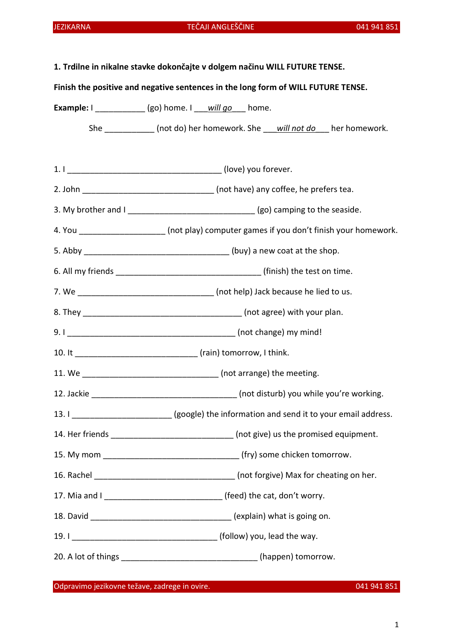| 1. Trdilne in nikalne stavke dokončajte v dolgem načinu WILL FUTURE TENSE.<br>Finish the positive and negative sentences in the long form of WILL FUTURE TENSE. |                                                                                            |
|-----------------------------------------------------------------------------------------------------------------------------------------------------------------|--------------------------------------------------------------------------------------------|
|                                                                                                                                                                 |                                                                                            |
|                                                                                                                                                                 | She _____________ (not do) her homework. She ___ will not do ___ her homework.             |
|                                                                                                                                                                 |                                                                                            |
|                                                                                                                                                                 | 2. John __________________________________ (not have) any coffee, he prefers tea.          |
|                                                                                                                                                                 |                                                                                            |
|                                                                                                                                                                 | 4. You ______________________ (not play) computer games if you don't finish your homework. |
|                                                                                                                                                                 |                                                                                            |
|                                                                                                                                                                 |                                                                                            |
|                                                                                                                                                                 |                                                                                            |
|                                                                                                                                                                 |                                                                                            |
|                                                                                                                                                                 |                                                                                            |
|                                                                                                                                                                 |                                                                                            |
|                                                                                                                                                                 |                                                                                            |
|                                                                                                                                                                 |                                                                                            |
|                                                                                                                                                                 | 13. I _______________________(google) the information and send it to your email address.   |
|                                                                                                                                                                 | 14. Her friends ______________________________ (not give) us the promised equipment.       |
|                                                                                                                                                                 |                                                                                            |
|                                                                                                                                                                 |                                                                                            |
|                                                                                                                                                                 | 17. Mia and I __________________________________ (feed) the cat, don't worry.              |
|                                                                                                                                                                 | 18. David ___________________________________(explain) what is going on.                   |
|                                                                                                                                                                 |                                                                                            |
|                                                                                                                                                                 | 20. A lot of things ___________________________________(happen) tomorrow.                  |

Odpravimo jezikovne težave, zadrege in ovire. 041 941 851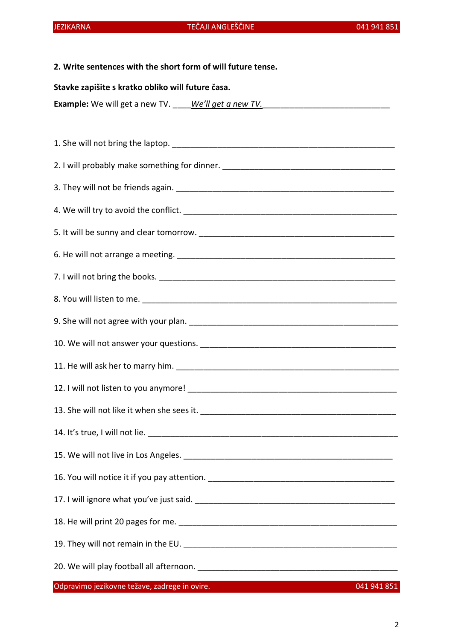# 2. Write sentences with the short form of will future tense.

## Stavke zapišite s kratko obliko will future časa.

**Example:** We will get a new TV. We'll get a new TV.

Odpravimo jezikovne težave, zadrege in ovire.<br>041 941 851 1. She will not bring the laptop.  $\blacksquare$ 2. I will probably make something for dinner. 3. They will not be friends again. \_\_\_\_\_\_\_\_\_\_\_\_\_\_\_\_\_\_\_\_\_\_\_\_\_\_\_\_\_\_\_\_\_\_\_\_\_\_\_\_\_\_\_\_\_\_\_\_ 4. We will try to avoid the conflict. 5. It will be sunny and clear tomorrow. \_\_\_\_\_\_\_\_\_\_\_\_\_\_\_\_\_\_\_\_\_\_\_\_\_\_\_\_\_\_\_\_\_\_\_\_\_\_\_\_\_\_\_ 6. He will not arrange a meeting.  $\Box$ 7. I will not bring the books. \_\_\_\_\_\_\_\_\_\_\_\_\_\_\_\_\_\_\_\_\_\_\_\_\_\_\_\_\_\_\_\_\_\_\_\_\_\_\_\_\_\_\_\_\_\_\_\_\_\_\_\_ 8. You will listen to me. \_\_\_\_\_\_\_\_\_\_\_\_\_\_\_\_\_\_\_\_\_\_\_\_\_\_\_\_\_\_\_\_\_\_\_\_\_\_\_\_\_\_\_\_\_\_\_\_\_\_\_\_\_\_\_\_ 9. She will not agree with your plan. \_\_\_\_\_\_\_\_\_\_\_\_\_\_\_\_\_\_\_\_\_\_\_\_\_\_\_\_\_\_\_\_\_\_\_\_\_\_\_\_\_\_\_\_\_\_ 10. We will not answer your questions. \_\_\_\_\_\_\_\_\_\_\_\_\_\_\_\_\_\_\_\_\_\_\_\_\_\_\_\_\_\_\_\_\_\_\_\_\_\_\_\_\_\_\_ 11. He will ask her to marry him. The same state of the state of the state of the state of the state of the state of the state of the state of the state of the state of the state of the state of the state of the state of t 12. I will not listen to you anymore! 13. She will not like it when she sees it. \_\_\_\_\_\_\_\_\_\_\_\_\_\_\_\_\_\_\_\_\_\_\_\_\_\_\_\_\_\_\_\_\_\_\_\_\_\_\_\_\_\_\_ 14. It's true, I will not lie. \_\_\_\_\_\_\_\_\_\_\_\_\_\_\_\_\_\_\_\_\_\_\_\_\_\_\_\_\_\_\_\_\_\_\_\_\_\_\_\_\_\_\_\_\_\_\_\_\_\_\_\_\_\_\_ 15. We will not live in Los Angeles. \_\_\_\_\_\_\_\_\_\_\_\_\_\_\_\_\_\_\_\_\_\_\_\_\_\_\_\_\_\_\_\_\_\_\_\_\_\_\_\_\_\_\_\_\_\_ 16. You will notice it if you pay attention. 17. I will ignore what you've just said. \_\_\_\_\_\_\_\_\_\_\_\_\_\_\_\_\_\_\_\_\_\_\_\_\_\_\_\_\_\_\_\_\_\_\_\_\_\_\_\_\_\_\_\_ 18. He will print 20 pages for me. \_\_\_\_\_\_\_\_\_\_\_\_\_\_\_\_\_\_\_\_\_\_\_\_\_\_\_\_\_\_\_\_\_\_\_\_\_\_\_\_\_\_\_\_\_\_\_\_ 19. They will not remain in the EU. \_\_\_\_\_\_\_\_\_\_\_\_\_\_\_\_\_\_\_\_\_\_\_\_\_\_\_\_\_\_\_\_\_\_\_\_\_\_\_\_\_\_\_\_\_\_\_ 20. We will play football all afternoon.